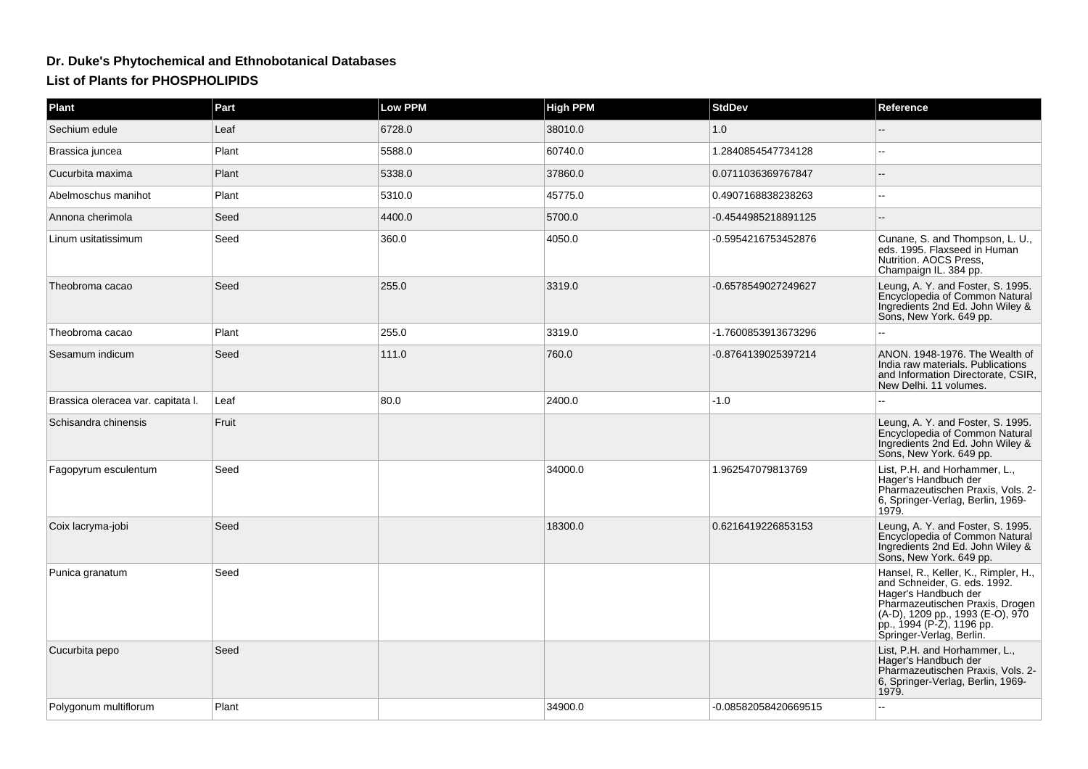## **Dr. Duke's Phytochemical and Ethnobotanical DatabasesList of Plants for PHOSPHOLIPIDS**

| Plant                              | Part  | <b>Low PPM</b> | <b>High PPM</b> | <b>StdDev</b>        | Reference                                                                                                                                                                                                                    |
|------------------------------------|-------|----------------|-----------------|----------------------|------------------------------------------------------------------------------------------------------------------------------------------------------------------------------------------------------------------------------|
| Sechium edule                      | Leaf  | 6728.0         | 38010.0         | 1.0                  |                                                                                                                                                                                                                              |
| Brassica juncea                    | Plant | 5588.0         | 60740.0         | 1.2840854547734128   |                                                                                                                                                                                                                              |
| Cucurbita maxima                   | Plant | 5338.0         | 37860.0         | 0.0711036369767847   |                                                                                                                                                                                                                              |
| Abelmoschus manihot                | Plant | 5310.0         | 45775.0         | 0.4907168838238263   |                                                                                                                                                                                                                              |
| Annona cherimola                   | Seed  | 4400.0         | 5700.0          | -0.4544985218891125  |                                                                                                                                                                                                                              |
| Linum usitatissimum                | Seed  | 360.0          | 4050.0          | -0.5954216753452876  | Cunane, S. and Thompson, L. U.,<br>eds. 1995. Flaxseed in Human<br>Nutrition. AOCS Press,<br>Champaign IL. 384 pp.                                                                                                           |
| Theobroma cacao                    | Seed  | 255.0          | 3319.0          | -0.6578549027249627  | Leung, A. Y. and Foster, S. 1995.<br>Encyclopedia of Common Natural<br>Ingredients 2nd Ed. John Wiley &<br>Sons, New York. 649 pp.                                                                                           |
| Theobroma cacao                    | Plant | 255.0          | 3319.0          | -1.7600853913673296  |                                                                                                                                                                                                                              |
| Sesamum indicum                    | Seed  | 111.0          | 760.0           | -0.8764139025397214  | ANON. 1948-1976. The Wealth of<br>India raw materials. Publications<br>and Information Directorate, CSIR,<br>New Delhi. 11 volumes.                                                                                          |
| Brassica oleracea var. capitata I. | Leaf  | 80.0           | 2400.0          | $-1.0$               | L.                                                                                                                                                                                                                           |
| Schisandra chinensis               | Fruit |                |                 |                      | Leung, A. Y. and Foster, S. 1995.<br>Encyclopedia of Common Natural<br>Ingredients 2nd Ed. John Wiley &<br>Sons, New York. 649 pp.                                                                                           |
| Fagopyrum esculentum               | Seed  |                | 34000.0         | 1.962547079813769    | List, P.H. and Horhammer, L.,<br>Hager's Handbuch der<br>Pharmazeutischen Praxis, Vols. 2-<br>6, Springer-Verlag, Berlin, 1969-<br>1979.                                                                                     |
| Coix lacryma-jobi                  | Seed  |                | 18300.0         | 0.6216419226853153   | Leung, A. Y. and Foster, S. 1995.<br>Encyclopedia of Common Natural<br>Ingredients 2nd Ed. John Wiley &<br>Sons, New York. 649 pp.                                                                                           |
| Punica granatum                    | Seed  |                |                 |                      | Hansel, R., Keller, K., Rimpler, H.,<br>and Schneider, G. eds. 1992.<br>Hager's Handbuch der<br>Pharmazeutischen Praxis, Drogen<br>(A-D), 1209 pp., 1993 (E-O), 970<br>pp., 1994 (P-Z), 1196 pp.<br>Springer-Verlag, Berlin. |
| Cucurbita pepo                     | Seed  |                |                 |                      | List, P.H. and Horhammer, L.,<br>Hager's Handbuch der<br>Pharmazeutischen Praxis, Vols. 2-<br>6, Springer-Verlag, Berlin, 1969-<br>1979.                                                                                     |
| Polygonum multiflorum              | Plant |                | 34900.0         | -0.08582058420669515 |                                                                                                                                                                                                                              |